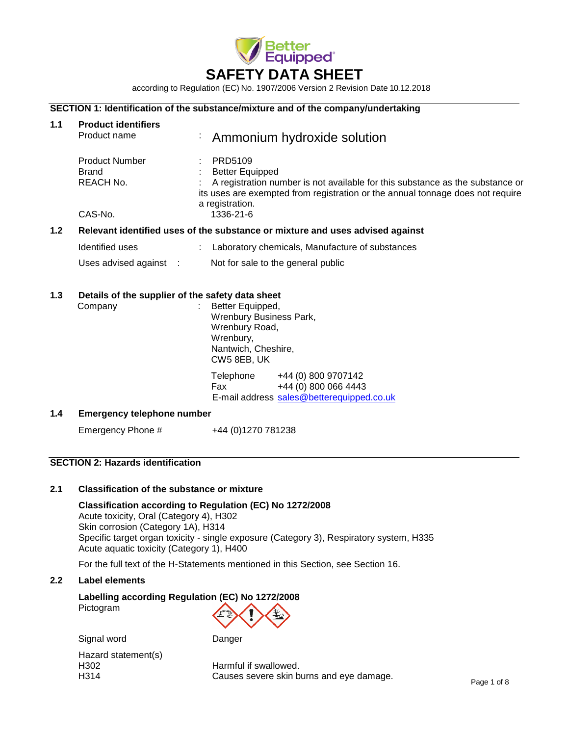

according to Regulation (EC) No. 1907/2006 Version 2 Revision Date 10.12.2018

## **SECTION 1: Identification of the substance/mixture and of the company/undertaking**

| 1.1                                                                                  | <b>Product identifiers</b><br>Product name                  | <b>Ammonium hydroxide solution</b>                                                                                                                                                                                      |  |  |
|--------------------------------------------------------------------------------------|-------------------------------------------------------------|-------------------------------------------------------------------------------------------------------------------------------------------------------------------------------------------------------------------------|--|--|
|                                                                                      | <b>Product Number</b><br>Brand<br>REACH No.                 | PRD5109<br><b>Better Equipped</b><br>A registration number is not available for this substance as the substance or<br>its uses are exempted from registration or the annual tonnage does not require<br>a registration. |  |  |
|                                                                                      | CAS-No.                                                     | 1336-21-6                                                                                                                                                                                                               |  |  |
| 1.2<br>Relevant identified uses of the substance or mixture and uses advised against |                                                             |                                                                                                                                                                                                                         |  |  |
|                                                                                      | Identified uses                                             | Laboratory chemicals, Manufacture of substances                                                                                                                                                                         |  |  |
|                                                                                      | Uses advised against :                                      | Not for sale to the general public                                                                                                                                                                                      |  |  |
| 1.3                                                                                  | Details of the supplier of the safety data sheet<br>Company | Better Equipped,<br><b>Wrenbury Business Park,</b><br>Wrenbury Road,<br>Wrenbury,<br>Nantwich, Cheshire,<br>CW5 8EB, UK                                                                                                 |  |  |
|                                                                                      |                                                             | Telephone<br>+44 (0) 800 9707142<br>+44 (0) 800 066 4443<br>Fax<br>E-mail address sales@betterequipped.co.uk                                                                                                            |  |  |
| 1.4                                                                                  | <b>Emergency telephone number</b>                           |                                                                                                                                                                                                                         |  |  |
|                                                                                      | Emergency Phone #                                           | +44 (0)1270 781238                                                                                                                                                                                                      |  |  |

## **SECTION 2: Hazards identification**

## **2.1 Classification of the substance or mixture**

## **Classification according to Regulation (EC) No 1272/2008**

Acute toxicity, Oral (Category 4), H302 Skin corrosion (Category 1A), H314 Specific target organ toxicity - single exposure (Category 3), Respiratory system, H335 Acute aquatic toxicity (Category 1), H400

For the full text of the H-Statements mentioned in this Section, see Section 16.

#### **2.2 Label elements**

**Labelling according Regulation (EC) No 1272/2008** Pictogram

Signal word Danger

Hazard statement(s)<br>H302

H<sub>302</sub> Harmful if swallowed.<br>H<sub>314</sub> H<sub>314</sub> H<sub>314</sub> H<sub>314</sub> H<sub>314</sub> H<sub>314</sub> H<sub>314</sub> H<sub>314</sub> H<sub>314</sub> H<sub>314</sub> H<sub>314</sub> H<sub>314</sub> H<sub>314</sub> H<sub>314</sub> H<sub>314</sub> H<sub>314</sub> H<sub>314</sub> H<sub>314</sub> H<sub>314</sub> H<sub>314</sub> H<sub>314</sub> H<sub>314</sub> H<sub>314</sub> H<sub>314</sub> H<sub>314</sub> H<sub>314</sub> H<sub>314</sub> H<sub>31</sub> Causes severe skin burns and eye damage.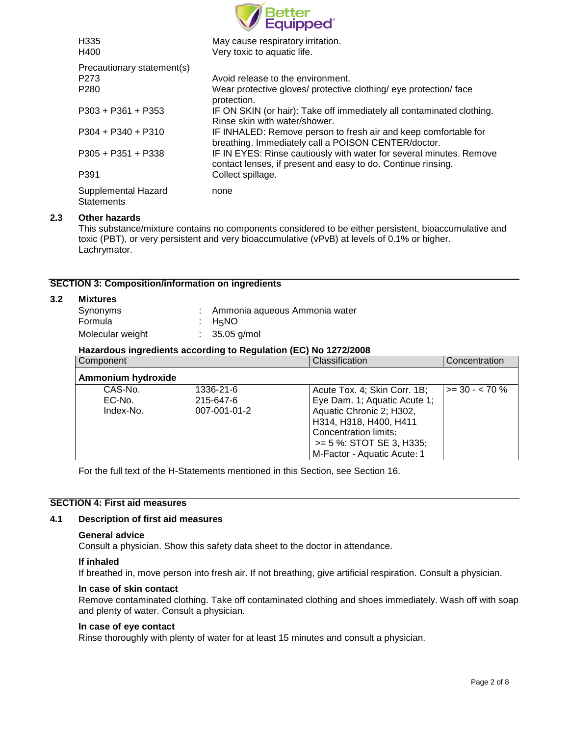| Better<br>Equipped°                      |                                                                                                                                     |  |  |
|------------------------------------------|-------------------------------------------------------------------------------------------------------------------------------------|--|--|
| H <sub>335</sub><br>H400                 | May cause respiratory irritation.<br>Very toxic to aquatic life.                                                                    |  |  |
| Precautionary statement(s)               |                                                                                                                                     |  |  |
| P <sub>273</sub>                         | Avoid release to the environment.                                                                                                   |  |  |
| P <sub>280</sub>                         | Wear protective gloves/ protective clothing/ eye protection/ face<br>protection.                                                    |  |  |
| $P303 + P361 + P353$                     | IF ON SKIN (or hair): Take off immediately all contaminated clothing.<br>Rinse skin with water/shower.                              |  |  |
| $P304 + P340 + P310$                     | IF INHALED: Remove person to fresh air and keep comfortable for<br>breathing. Immediately call a POISON CENTER/doctor.              |  |  |
| $P305 + P351 + P338$                     | IF IN EYES: Rinse cautiously with water for several minutes. Remove<br>contact lenses, if present and easy to do. Continue rinsing. |  |  |
| P391                                     | Collect spillage.                                                                                                                   |  |  |
| Supplemental Hazard<br><b>Statements</b> | none                                                                                                                                |  |  |

## **2.3 Other hazards**

This substance/mixture contains no components considered to be either persistent, bioaccumulative and toxic (PBT), or very persistent and very bioaccumulative (vPvB) at levels of 0.1% or higher. Lachrymator.

## **SECTION 3: Composition/information on ingredients**

## **3.2 Mixtures**

| Synonyms         | : Ammonia aqueous Ammonia water |
|------------------|---------------------------------|
| Formula          | : $H5NO$                        |
| Molecular weight | $: 35.05$ g/mol                 |

## **Hazardous ingredients according to Regulation (EC) No 1272/2008**

| Component          |              | Classification               | Concentration      |
|--------------------|--------------|------------------------------|--------------------|
| Ammonium hydroxide |              |                              |                    |
| CAS-No.            | 1336-21-6    | Acute Tox. 4; Skin Corr. 1B; | $>=$ 30 - $<$ 70 % |
| EC-No.             | 215-647-6    | Eye Dam. 1; Aquatic Acute 1; |                    |
| Index-No.          | 007-001-01-2 | Aquatic Chronic 2; H302,     |                    |
|                    |              | H314, H318, H400, H411       |                    |
|                    |              | Concentration limits:        |                    |
|                    |              | $>= 5$ %: STOT SE 3, H335;   |                    |
|                    |              | M-Factor - Aquatic Acute: 1  |                    |

For the full text of the H-Statements mentioned in this Section, see Section 16.

#### **SECTION 4: First aid measures**

#### **4.1 Description of first aid measures**

#### **General advice**

Consult a physician. Show this safety data sheet to the doctor in attendance.

## **If inhaled**

If breathed in, move person into fresh air. If not breathing, give artificial respiration. Consult a physician.

#### **In case of skin contact**

Remove contaminated clothing. Take off contaminated clothing and shoes immediately. Wash off with soap and plenty of water. Consult a physician.

#### **In case of eye contact**

Rinse thoroughly with plenty of water for at least 15 minutes and consult a physician.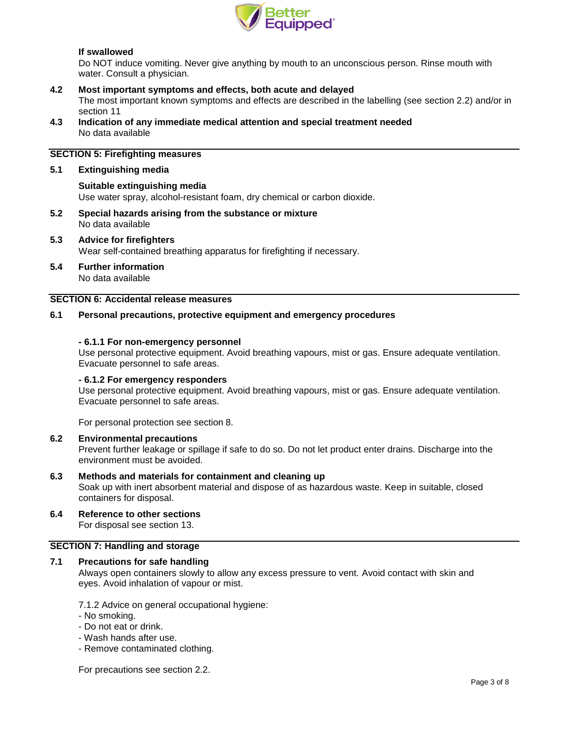

## **If swallowed**

Do NOT induce vomiting. Never give anything by mouth to an unconscious person. Rinse mouth with water. Consult a physician.

### **4.2 Most important symptoms and effects, both acute and delayed**

The most important known symptoms and effects are described in the labelling (see section 2.2) and/or in section 11

**4.3 Indication of any immediate medical attention and special treatment needed** No data available

## **SECTION 5: Firefighting measures**

#### **5.1 Extinguishing media**

#### **Suitable extinguishing media**

Use water spray, alcohol-resistant foam, dry chemical or carbon dioxide.

**5.2 Special hazards arising from the substance or mixture** No data available

#### **5.3 Advice for firefighters** Wear self-contained breathing apparatus for firefighting if necessary.

**5.4 Further information**

No data available

## **SECTION 6: Accidental release measures**

#### **6.1 Personal precautions, protective equipment and emergency procedures**

#### **- 6.1.1 For non-emergency personnel**

Use personal protective equipment. Avoid breathing vapours, mist or gas. Ensure adequate ventilation. Evacuate personnel to safe areas.

### **- 6.1.2 For emergency responders**

Use personal protective equipment. Avoid breathing vapours, mist or gas. Ensure adequate ventilation. Evacuate personnel to safe areas.

For personal protection see section 8.

#### **6.2 Environmental precautions**

Prevent further leakage or spillage if safe to do so. Do not let product enter drains. Discharge into the environment must be avoided.

#### **6.3 Methods and materials for containment and cleaning up**

Soak up with inert absorbent material and dispose of as hazardous waste. Keep in suitable, closed containers for disposal.

**6.4 Reference to other sections**

For disposal see section 13.

## **SECTION 7: Handling and storage**

#### **7.1 Precautions for safe handling**

Always open containers slowly to allow any excess pressure to vent. Avoid contact with skin and eyes. Avoid inhalation of vapour or mist.

7.1.2 Advice on general occupational hygiene:

- No smoking.
- Do not eat or drink.
- Wash hands after use.
- Remove contaminated clothing.

For precautions see section 2.2.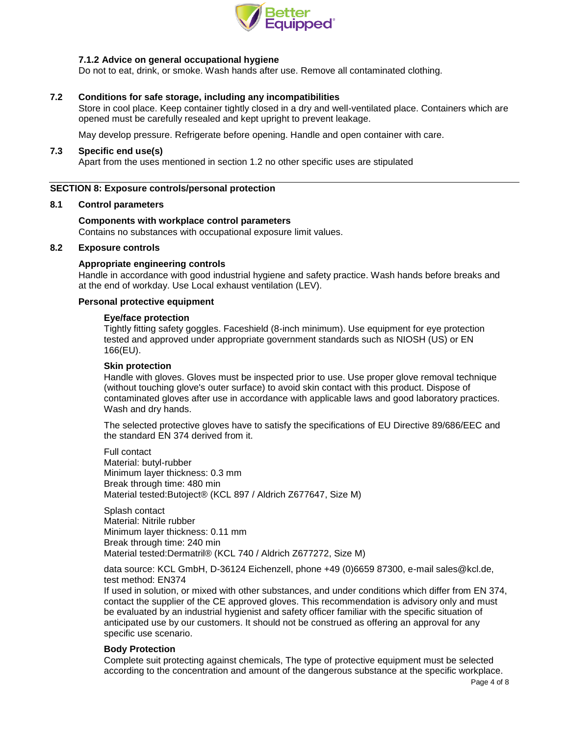

## **7.1.2 Advice on general occupational hygiene**

Do not to eat, drink, or smoke. Wash hands after use. Remove all contaminated clothing.

## **7.2 Conditions for safe storage, including any incompatibilities**

Store in cool place. Keep container tightly closed in a dry and well-ventilated place. Containers which are opened must be carefully resealed and kept upright to prevent leakage.

May develop pressure. Refrigerate before opening. Handle and open container with care.

#### **7.3 Specific end use(s)**

Apart from the uses mentioned in section 1.2 no other specific uses are stipulated

### **SECTION 8: Exposure controls/personal protection**

### **8.1 Control parameters**

### **Components with workplace control parameters**

Contains no substances with occupational exposure limit values.

## **8.2 Exposure controls**

### **Appropriate engineering controls**

Handle in accordance with good industrial hygiene and safety practice. Wash hands before breaks and at the end of workday. Use Local exhaust ventilation (LEV).

### **Personal protective equipment**

### **Eye/face protection**

Tightly fitting safety goggles. Faceshield (8-inch minimum). Use equipment for eye protection tested and approved under appropriate government standards such as NIOSH (US) or EN 166(EU).

#### **Skin protection**

Handle with gloves. Gloves must be inspected prior to use. Use proper glove removal technique (without touching glove's outer surface) to avoid skin contact with this product. Dispose of contaminated gloves after use in accordance with applicable laws and good laboratory practices. Wash and dry hands.

The selected protective gloves have to satisfy the specifications of EU Directive 89/686/EEC and the standard EN 374 derived from it.

Full contact Material: butyl-rubber Minimum layer thickness: 0.3 mm Break through time: 480 min Material tested:Butoject® (KCL 897 / Aldrich Z677647, Size M)

Splash contact Material: Nitrile rubber Minimum layer thickness: 0.11 mm Break through time: 240 min Material tested:Dermatril® (KCL 740 / Aldrich Z677272, Size M)

data source: KCL GmbH, D-36124 Eichenzell, phone +49 (0)6659 87300, e-mail [sales@kcl.de,](mailto:sales@kcl.de) test method: EN374

If used in solution, or mixed with other substances, and under conditions which differ from EN 374, contact the supplier of the CE approved gloves. This recommendation is advisory only and must be evaluated by an industrial hygienist and safety officer familiar with the specific situation of anticipated use by our customers. It should not be construed as offering an approval for any specific use scenario.

## **Body Protection**

Complete suit protecting against chemicals, The type of protective equipment must be selected according to the concentration and amount of the dangerous substance at the specific workplace.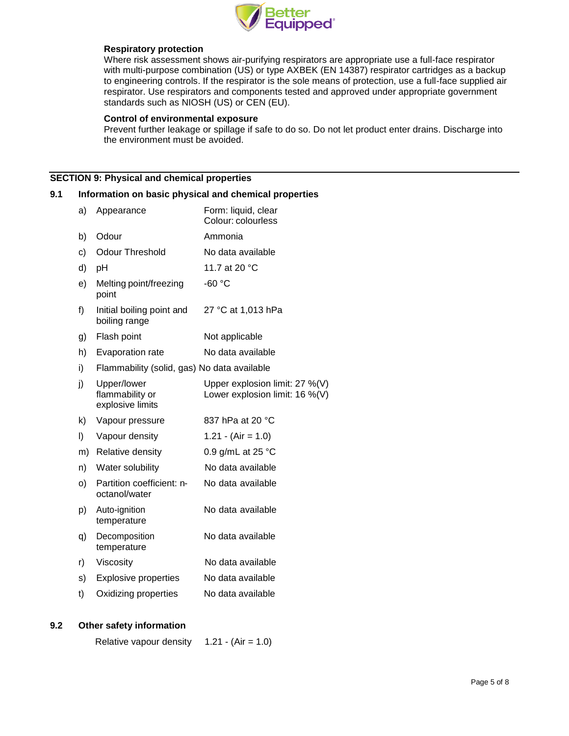

### **Respiratory protection**

Where risk assessment shows air-purifying respirators are appropriate use a full-face respirator with multi-purpose combination (US) or type AXBEK (EN 14387) respirator cartridges as a backup to engineering controls. If the respirator is the sole means of protection, use a full-face supplied air respirator. Use respirators and components tested and approved under appropriate government standards such as NIOSH (US) or CEN (EU).

### **Control of environmental exposure**

Prevent further leakage or spillage if safe to do so. Do not let product enter drains. Discharge into the environment must be avoided.

## **SECTION 9: Physical and chemical properties**

### **9.1 Information on basic physical and chemical properties**

| a) | Appearance                                         | Form: liquid, clear<br>Colour: colourless                        |
|----|----------------------------------------------------|------------------------------------------------------------------|
| b) | Odour                                              | Ammonia                                                          |
| c) | <b>Odour Threshold</b>                             | No data available                                                |
| d) | рH                                                 | 11.7 at 20 °C                                                    |
| e) | Melting point/freezing<br>point                    | $-60 °C$                                                         |
| f) | Initial boiling point and<br>boiling range         | 27 °C at 1,013 hPa                                               |
| g) | Flash point                                        | Not applicable                                                   |
| h) | Evaporation rate                                   | No data available                                                |
| i) | Flammability (solid, gas) No data available        |                                                                  |
| j) | Upper/lower<br>flammability or<br>explosive limits | Upper explosion limit: 27 %(V)<br>Lower explosion limit: 16 %(V) |
| k) | Vapour pressure                                    | 837 hPa at 20 °C                                                 |
| I) | Vapour density                                     | 1.21 - (Air = 1.0)                                               |
| m) | Relative density                                   | 0.9 g/mL at 25 $^{\circ}$ C                                      |
| n) | Water solubility                                   | No data available                                                |
| o) | Partition coefficient: n-<br>octanol/water         | No data available                                                |
| p) | Auto-ignition<br>temperature                       | No data available                                                |
| q) | Decomposition<br>temperature                       | No data available                                                |
| r) | Viscosity                                          | No data available                                                |
| s) | <b>Explosive properties</b>                        | No data available                                                |
| t) | Oxidizing properties                               | No data available                                                |

## **9.2 Other safety information**

Relative vapour density  $1.21 - (Air = 1.0)$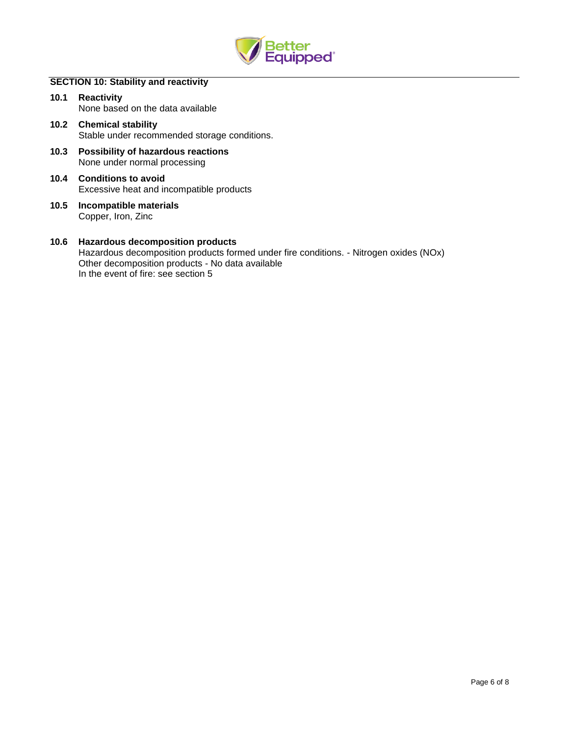

## **SECTION 10: Stability and reactivity**

- **10.1 Reactivity** None based on the data available
- **10.2 Chemical stability** Stable under recommended storage conditions.
- **10.3 Possibility of hazardous reactions** None under normal processing
- **10.4 Conditions to avoid** Excessive heat and incompatible products
- **10.5 Incompatible materials** Copper, Iron, Zinc

### **10.6 Hazardous decomposition products** Hazardous decomposition products formed under fire conditions. - Nitrogen oxides (NOx) Other decomposition products - No data available In the event of fire: see section 5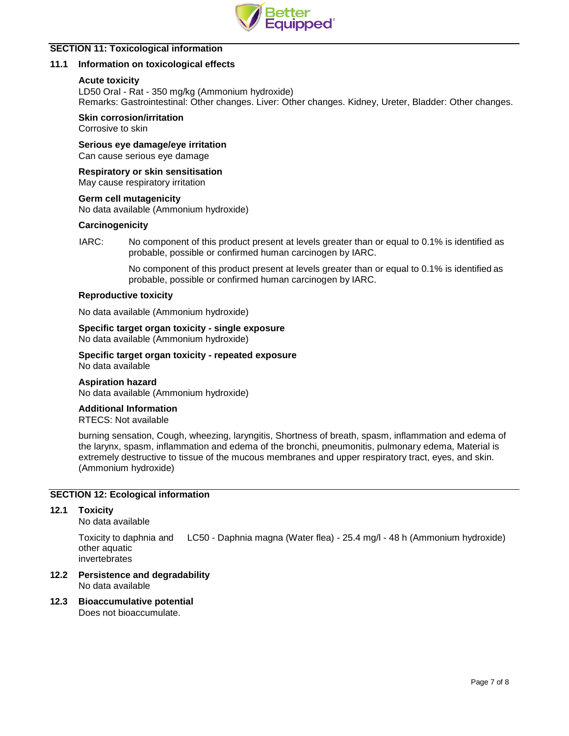

## **SECTION 11: Toxicological information**

## **11.1 Information on toxicological effects**

### **Acute toxicity**

LD50 Oral - Rat - 350 mg/kg (Ammonium hydroxide) Remarks: Gastrointestinal: Other changes. Liver: Other changes. Kidney, Ureter, Bladder: Other changes.

## **Skin corrosion/irritation**

Corrosive to skin

**Serious eye damage/eye irritation** Can cause serious eye damage

**Respiratory or skin sensitisation**

May cause respiratory irritation

### **Germ cell mutagenicity**

No data available (Ammonium hydroxide)

### **Carcinogenicity**

IARC: No component of this product present at levels greater than or equal to 0.1% is identified as probable, possible or confirmed human carcinogen by IARC.

> No component of this product present at levels greater than or equal to 0.1% is identified as probable, possible or confirmed human carcinogen by IARC.

### **Reproductive toxicity**

No data available (Ammonium hydroxide)

**Specific target organ toxicity - single exposure** No data available (Ammonium hydroxide)

**Specific target organ toxicity - repeated exposure** No data available

## **Aspiration hazard**

No data available (Ammonium hydroxide)

#### **Additional Information**

RTECS: Not available

burning sensation, Cough, wheezing, laryngitis, Shortness of breath, spasm, inflammation and edema of the larynx, spasm, inflammation and edema of the bronchi, pneumonitis, pulmonary edema, Material is extremely destructive to tissue of the mucous membranes and upper respiratory tract, eyes, and skin. (Ammonium hydroxide)

## **SECTION 12: Ecological information**

## **12.1 Toxicity**

No data available

Toxicity to daphnia and other aquatic invertebrates LC50 - Daphnia magna (Water flea) - 25.4 mg/l - 48 h (Ammonium hydroxide)

**12.2 Persistence and degradability**

No data available

**12.3 Bioaccumulative potential**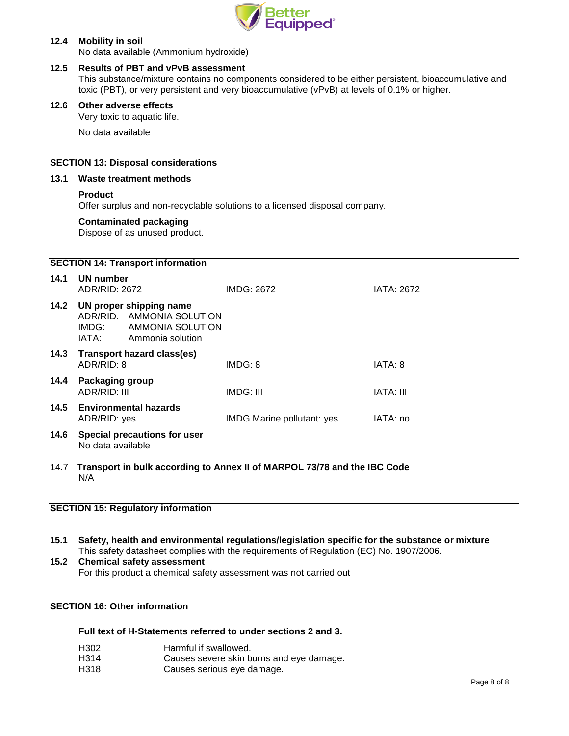

## **12.4 Mobility in soil**

No data available (Ammonium hydroxide)

## **12.5 Results of PBT and vPvB assessment**

This substance/mixture contains no components considered to be either persistent, bioaccumulative and toxic (PBT), or very persistent and very bioaccumulative (vPvB) at levels of 0.1% or higher.

## **12.6 Other adverse effects**

Very toxic to aquatic life.

No data available

### **SECTION 13: Disposal considerations**

#### **13.1 Waste treatment methods**

### **Product**

Offer surplus and non-recyclable solutions to a licensed disposal company.

## **Contaminated packaging**

Dispose of as unused product.

|      |                                            | <b>SECTION 14: Transport information</b>                                                                |                                                                          |                   |
|------|--------------------------------------------|---------------------------------------------------------------------------------------------------------|--------------------------------------------------------------------------|-------------------|
| 14.1 | UN number<br>ADR/RID: 2672                 |                                                                                                         | <b>IMDG: 2672</b>                                                        | <b>IATA: 2672</b> |
|      | IATA: T                                    | 14.2 UN proper shipping name<br>ADR/RID: AMMONIA SOLUTION<br>IMDG: AMMONIA SOLUTION<br>Ammonia solution |                                                                          |                   |
| 14.3 | ADR/RID: 8                                 | <b>Transport hazard class(es)</b>                                                                       | IMDG: 8                                                                  | IATA: 8           |
| 14.4 | Packaging group<br>ADR/RID: III            |                                                                                                         | IMDG: III                                                                | IATA: III         |
|      | 14.5 Environmental hazards<br>ADR/RID: yes |                                                                                                         | IMDG Marine pollutant: yes                                               | IATA: no          |
| 14.6 | No data available                          | Special precautions for user                                                                            |                                                                          |                   |
| 14.7 | N/A                                        |                                                                                                         | Transport in bulk according to Annex II of MARPOL 73/78 and the IBC Code |                   |

## **SECTION 15: Regulatory information**

**15.1 Safety, health and environmental regulations/legislation specific for the substance or mixture** This safety datasheet complies with the requirements of Regulation (EC) No. 1907/2006.

# **15.2 Chemical safety assessment** For this product a chemical safety assessment was not carried out

# **SECTION 16: Other information**

## **Full text of H-Statements referred to under sections 2 and 3.**

H302 Harmful if swallowed.<br>H314 Causes severe skin b Causes severe skin burns and eye damage. H318 Causes serious eye damage.